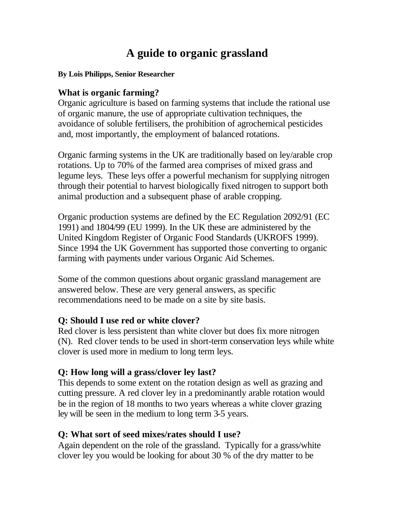# **A guide to organic grassland**

#### **By Lois Philipps, Senior Researcher**

#### **What is organic farming?**

Organic agriculture is based on farming systems that include the rational use of organic manure, the use of appropriate cultivation techniques, the avoidance of soluble fertilisers, the prohibition of agrochemical pesticides and, most importantly, the employment of balanced rotations.

Organic farming systems in the UK are traditionally based on ley/arable crop rotations. Up to 70% of the farmed area comprises of mixed grass and legume leys. These leys offer a powerful mechanism for supplying nitrogen through their potential to harvest biologically fixed nitrogen to support both animal production and a subsequent phase of arable cropping.

Organic production systems are defined by the EC Regulation 2092/91 (EC 1991) and 1804/99 (EU 1999). In the UK these are administered by the United Kingdom Register of Organic Food Standards (UKROFS 1999). Since 1994 the UK Government has supported those converting to organic farming with payments under various Organic Aid Schemes.

Some of the common questions about organic grassland management are answered below. These are very general answers, as specific recommendations need to be made on a site by site basis.

#### **Q: Should I use red or white clover?**

Red clover is less persistent than white clover but does fix more nitrogen (N). Red clover tends to be used in short-term conservation leys while white clover is used more in medium to long term leys.

#### **Q: How long will a grass/clover ley last?**

This depends to some extent on the rotation design as well as grazing and cutting pressure. A red clover ley in a predominantly arable rotation would be in the region of 18 months to two years whereas a white clover grazing ley will be seen in the medium to long term 3-5 years.

#### **Q: What sort of seed mixes/rates should I use?**

Again dependent on the role of the grassland. Typically for a grass/white clover ley you would be looking for about 30 % of the dry matter to be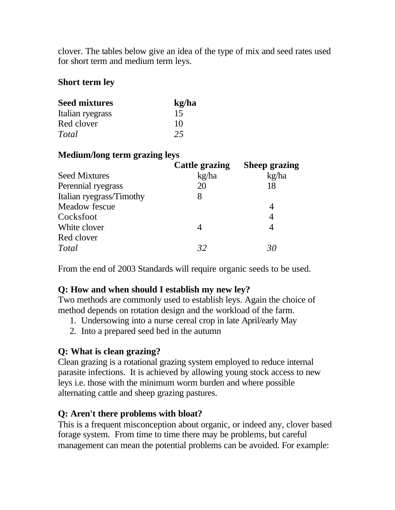clover. The tables below give an idea of the type of mix and seed rates used for short term and medium term leys.

### **Short term ley**

| <b>Seed mixtures</b> | kg/ha |
|----------------------|-------|
| Italian ryegrass     | 15    |
| Red clover           | 10    |
| Total                | 25    |

# **Medium/long term grazing leys**

|                          | <b>Cattle grazing</b> | <b>Sheep grazing</b> |
|--------------------------|-----------------------|----------------------|
| <b>Seed Mixtures</b>     | kg/ha                 | kg/ha                |
| Perennial ryegrass       | 20                    | 18                   |
| Italian ryegrass/Timothy | 8                     |                      |
| Meadow fescue            |                       |                      |
| Cocksfoot                |                       | 4                    |
| White clover             |                       | 4                    |
| Red clover               |                       |                      |
| Total                    | 32                    | 30                   |

From the end of 2003 Standards will require organic seeds to be used.

# **Q: How and when should I establish my new ley?**

Two methods are commonly used to establish leys. Again the choice of method depends on rotation design and the workload of the farm.

- 1. Undersowing into a nurse cereal crop in late April/early May
- 2. Into a prepared seed bed in the autumn

# **Q: What is clean grazing?**

Clean grazing is a rotational grazing system employed to reduce internal parasite infections. It is achieved by allowing young stock access to new leys i.e. those with the minimum worm burden and where possible alternating cattle and sheep grazing pastures.

# **Q: Aren't there problems with bloat?**

This is a frequent misconception about organic, or indeed any, clover based forage system. From time to time there may be problems, but careful management can mean the potential problems can be avoided. For example: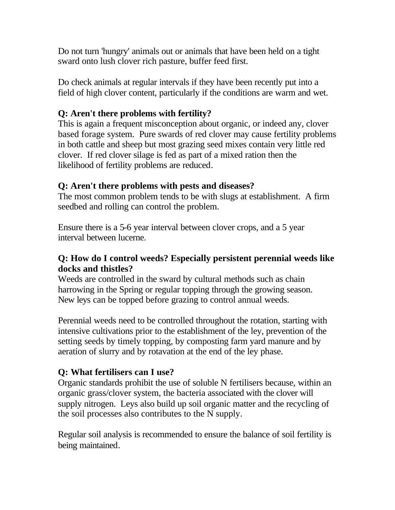Do not turn 'hungry' animals out or animals that have been held on a tight sward onto lush clover rich pasture, buffer feed first.

Do check animals at regular intervals if they have been recently put into a field of high clover content, particularly if the conditions are warm and wet.

# **Q: Aren't there problems with fertility?**

This is again a frequent misconception about organic, or indeed any, clover based forage system. Pure swards of red clover may cause fertility problems in both cattle and sheep but most grazing seed mixes contain very little red clover. If red clover silage is fed as part of a mixed ration then the likelihood of fertility problems are reduced.

# **Q: Aren't there problems with pests and diseases?**

The most common problem tends to be with slugs at establishment. A firm seedbed and rolling can control the problem.

Ensure there is a 5-6 year interval between clover crops, and a 5 year interval between lucerne.

### **Q: How do I control weeds? Especially persistent perennial weeds like docks and thistles?**

Weeds are controlled in the sward by cultural methods such as chain harrowing in the Spring or regular topping through the growing season. New leys can be topped before grazing to control annual weeds.

Perennial weeds need to be controlled throughout the rotation, starting with intensive cultivations prior to the establishment of the ley, prevention of the setting seeds by timely topping, by composting farm yard manure and by aeration of slurry and by rotavation at the end of the ley phase.

# **Q: What fertilisers can I use?**

Organic standards prohibit the use of soluble N fertilisers because, within an organic grass/clover system, the bacteria associated with the clover will supply nitrogen. Leys also build up soil organic matter and the recycling of the soil processes also contributes to the N supply.

Regular soil analysis is recommended to ensure the balance of soil fertility is being maintained.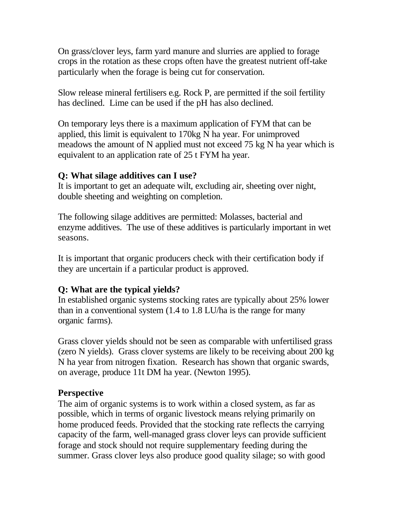On grass/clover leys, farm yard manure and slurries are applied to forage crops in the rotation as these crops often have the greatest nutrient off-take particularly when the forage is being cut for conservation.

Slow release mineral fertilisers e.g. Rock P, are permitted if the soil fertility has declined. Lime can be used if the pH has also declined.

On temporary leys there is a maximum application of FYM that can be applied, this limit is equivalent to 170kg N ha year. For unimproved meadows the amount of N applied must not exceed 75 kg N ha year which is equivalent to an application rate of 25 t FYM ha year.

#### **Q: What silage additives can I use?**

It is important to get an adequate wilt, excluding air, sheeting over night, double sheeting and weighting on completion.

The following silage additives are permitted: Molasses, bacterial and enzyme additives. The use of these additives is particularly important in wet seasons.

It is important that organic producers check with their certification body if they are uncertain if a particular product is approved.

### **Q: What are the typical yields?**

In established organic systems stocking rates are typically about 25% lower than in a conventional system (1.4 to 1.8 LU/ha is the range for many organic farms).

Grass clover yields should not be seen as comparable with unfertilised grass (zero N yields). Grass clover systems are likely to be receiving about 200 kg N ha year from nitrogen fixation. Research has shown that organic swards, on average, produce 11t DM ha year. (Newton 1995).

### **Perspective**

The aim of organic systems is to work within a closed system, as far as possible, which in terms of organic livestock means relying primarily on home produced feeds. Provided that the stocking rate reflects the carrying capacity of the farm, well-managed grass clover leys can provide sufficient forage and stock should not require supplementary feeding during the summer. Grass clover leys also produce good quality silage; so with good